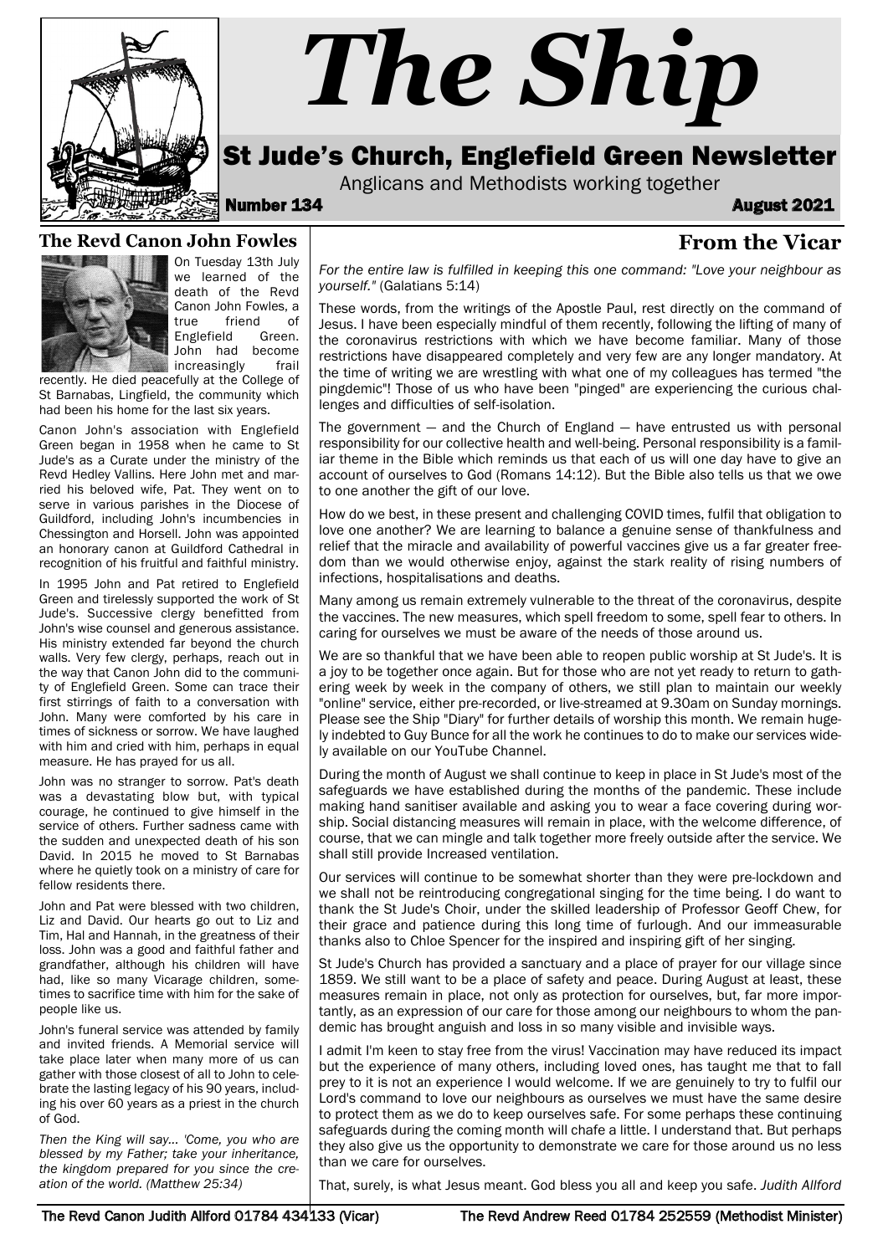

# *The Ship*

# St Jude's Church, Englefield Green Newsletter

Anglicans and Methodists working together

Number 134 August 2021

#### **From the Vicar**

#### **The Revd Canon John Fowles**



On Tuesday 13th July we learned of the death of the Revd Canon John Fowles, a true friend of<br>Englefield Green Englefield John had become **increasingly** frail

recently. He died peacefully at the College of St Barnabas, Lingfield, the community which had been his home for the last six years.

Canon John's association with Englefield Green began in 1958 when he came to St Jude's as a Curate under the ministry of the Revd Hedley Vallins. Here John met and married his beloved wife, Pat. They went on to serve in various parishes in the Diocese of Guildford, including John's incumbencies in Chessington and Horsell. John was appointed an honorary canon at Guildford Cathedral in recognition of his fruitful and faithful ministry.

In 1995 John and Pat retired to Englefield Green and tirelessly supported the work of St Jude's. Successive clergy benefitted from John's wise counsel and generous assistance. His ministry extended far beyond the church walls. Very few clergy, perhaps, reach out in the way that Canon John did to the community of Englefield Green. Some can trace their first stirrings of faith to a conversation with John. Many were comforted by his care in times of sickness or sorrow. We have laughed with him and cried with him, perhaps in equal measure. He has prayed for us all.

John was no stranger to sorrow. Pat's death was a devastating blow but, with typical courage, he continued to give himself in the service of others. Further sadness came with the sudden and unexpected death of his son David. In 2015 he moved to St Barnabas where he quietly took on a ministry of care for fellow residents there.

John and Pat were blessed with two children, Liz and David. Our hearts go out to Liz and Tim, Hal and Hannah, in the greatness of their loss. John was a good and faithful father and grandfather, although his children will have had, like so many Vicarage children, sometimes to sacrifice time with him for the sake of people like us.

John's funeral service was attended by family and invited friends. A Memorial service will take place later when many more of us can gather with those closest of all to John to celebrate the lasting legacy of his 90 years, including his over 60 years as a priest in the church of God.

*Then the King will say... 'Come, you who are blessed by my Father; take your inheritance, the kingdom prepared for you since the creation of the world. (Matthew 25:34)* 

*For the entire law is fulfilled in keeping this one command: "Love your neighbour as yourself."* (Galatians 5:14)

These words, from the writings of the Apostle Paul, rest directly on the command of Jesus. I have been especially mindful of them recently, following the lifting of many of the coronavirus restrictions with which we have become familiar. Many of those restrictions have disappeared completely and very few are any longer mandatory. At the time of writing we are wrestling with what one of my colleagues has termed "the pingdemic"! Those of us who have been "pinged" are experiencing the curious challenges and difficulties of self-isolation.

The government  $-$  and the Church of England  $-$  have entrusted us with personal responsibility for our collective health and well-being. Personal responsibility is a familiar theme in the Bible which reminds us that each of us will one day have to give an account of ourselves to God (Romans 14:12). But the Bible also tells us that we owe to one another the gift of our love.

How do we best, in these present and challenging COVID times, fulfil that obligation to love one another? We are learning to balance a genuine sense of thankfulness and relief that the miracle and availability of powerful vaccines give us a far greater freedom than we would otherwise enjoy, against the stark reality of rising numbers of infections, hospitalisations and deaths.

Many among us remain extremely vulnerable to the threat of the coronavirus, despite the vaccines. The new measures, which spell freedom to some, spell fear to others. In caring for ourselves we must be aware of the needs of those around us.

We are so thankful that we have been able to reopen public worship at St Jude's. It is a joy to be together once again. But for those who are not yet ready to return to gathering week by week in the company of others, we still plan to maintain our weekly "online" service, either pre-recorded, or live-streamed at 9.30am on Sunday mornings. Please see the Ship "Diary" for further details of worship this month. We remain hugely indebted to Guy Bunce for all the work he continues to do to make our services widely available on our YouTube Channel.

During the month of August we shall continue to keep in place in St Jude's most of the safeguards we have established during the months of the pandemic. These include making hand sanitiser available and asking you to wear a face covering during worship. Social distancing measures will remain in place, with the welcome difference, of course, that we can mingle and talk together more freely outside after the service. We shall still provide Increased ventilation.

Our services will continue to be somewhat shorter than they were pre-lockdown and we shall not be reintroducing congregational singing for the time being. I do want to thank the St Jude's Choir, under the skilled leadership of Professor Geoff Chew, for their grace and patience during this long time of furlough. And our immeasurable thanks also to Chloe Spencer for the inspired and inspiring gift of her singing.

St Jude's Church has provided a sanctuary and a place of prayer for our village since 1859. We still want to be a place of safety and peace. During August at least, these measures remain in place, not only as protection for ourselves, but, far more importantly, as an expression of our care for those among our neighbours to whom the pandemic has brought anguish and loss in so many visible and invisible ways.

I admit I'm keen to stay free from the virus! Vaccination may have reduced its impact but the experience of many others, including loved ones, has taught me that to fall prey to it is not an experience I would welcome. If we are genuinely to try to fulfil our Lord's command to love our neighbours as ourselves we must have the same desire to protect them as we do to keep ourselves safe. For some perhaps these continuing safeguards during the coming month will chafe a little. I understand that. But perhaps they also give us the opportunity to demonstrate we care for those around us no less than we care for ourselves.

That, surely, is what Jesus meant. God bless you all and keep you safe. *Judith Allford*